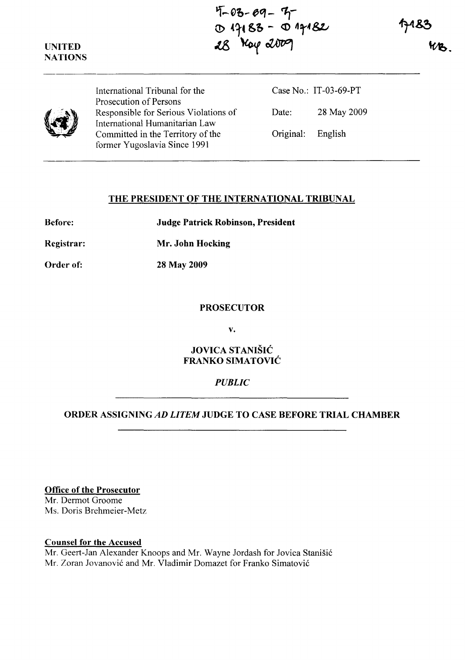**UNITED NATIONS** 

**'i-03-09- 'I**-(!) (~t S" - <:0 **t1,-4 &z.,-**  $~\approx~$  ray  $~\approx~$ 



International Tribunal for the Prosecution of Persons Responsible for Serious Violations of International Humanitarian Law Committed in the Territory of the former Yugoslavia Since 1991

Case No.: IT-03-69-PT Date: 28 May 2009 Original: English

### **THE PRESIDENT OF THE INTERNATIONAL TRIBUNAL**

**Before: Judge Patrick Robinson, President** 

**Registrar: Mr. John Hocking** 

**Order of: 28 May 2009** 

#### **PROSECUTOR**

**v.** 

**JOVICA STANISIC FRANKO SIMATOVIC** 

# *PUBLIC*

# **ORDER ASSIGNING** *AD LITEM* **JUDGE TO CASE BEFORE TRIAL CHAMBER**

**Office of the Prosecutor** 

Mr. Dermot Groome Ms. Doris Brehmeier-Metz

### **Counsel for the Accused**

Mr. Geert-Jan Alexander Knoops and Mr. Wayne Jordash for Jovica Stanišić Mr. Zoran Jovanović and Mr. Vladimir Domazet for Franko Simatović